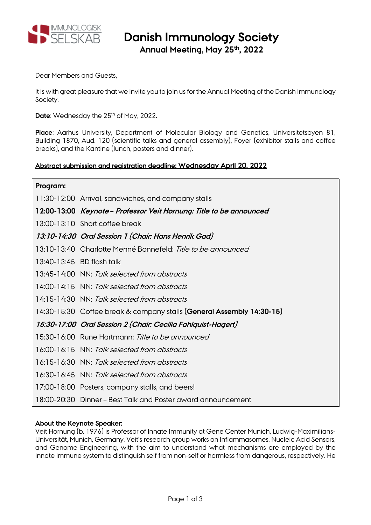

# **Danish Immunology Society**

**Annual Meeting, May 25th, 2022**

Dear Members and Guests,

It is with great pleasure that we invite you to join us for the Annual Meeting of the Danish Immunology Society.

**Date:** Wednesday the 25<sup>th</sup> of May, 2022.

**Place**: Aarhus University, Department of Molecular Biology and Genetics, Universitetsbyen 81, Building 1870, Aud. 120 (scientific talks and general assembly), Foyer (exhibitor stalls and coffee breaks), and the Kantine (lunch, posters and dinner).

## **Abstract submission and registration deadline: Wednesday April 20, 2022**

| Program: |                                                                       |
|----------|-----------------------------------------------------------------------|
|          | 11:30-12:00 Arrival, sandwiches, and company stalls                   |
|          | 12:00-13:00 Keynote-Professor Veit Hornung: Title to be announced     |
|          | 13:00-13:10 Short coffee break                                        |
|          | 13:10-14:30 Oral Session 1 (Chair: Hans Henrik Gad)                   |
|          | 13:10-13:40 Charlotte Menné Bonnefeld: Title to be announced          |
|          | 13:40-13:45 BD flash talk                                             |
|          | 13:45-14:00 NN: Talk selected from abstracts                          |
|          | 14:00-14:15 NN: Talk selected from abstracts                          |
|          | 14:15-14:30 NN: Talk selected from abstracts                          |
|          | 14:30-15:30 Coffee break & company stalls (General Assembly 14:30-15) |
|          | 15:30-17:00 Oral Session 2 (Chair: Cecilia Fahlquist-Hagert)          |
|          | 15:30-16:00 Rune Hartmann: Title to be announced                      |
|          | 16:00-16:15 NN: Talk selected from abstracts                          |
|          | 16:15-16:30 NN: Talk selected from abstracts                          |
|          | 16:30-16:45 NN: Talk selected from abstracts                          |
|          | 17:00-18:00 Posters, company stalls, and beers!                       |
|          | 18:00-20:30 Dinner - Best Talk and Poster award announcement          |

## **About the Keynote Speaker:**

Veit Hornung (b. 1976) is Professor of Innate Immunity at Gene Center Munich, Ludwig-Maximilians-Universität, Munich, Germany. Veit's research group works on Inflammasomes, Nucleic Acid Sensors, and Genome Engineering, with the aim to understand what mechanisms are employed by the innate immune system to distinguish self from non-self or harmless from dangerous, respectively. He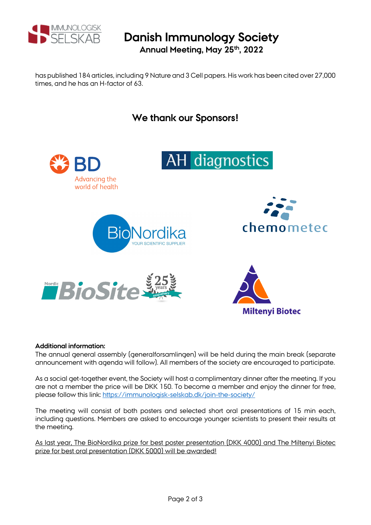

## **Danish Immunology Society Annual Meeting, May 25th, 2022**

has published 184 articles, including 9 Nature and 3 Cell papers. His work has been cited over 27,000 times, and he has an H-factor of 63.

# **We thank our Sponsors!** AH diagnostics Advancing the world of health chemometec Nordic BioSite **Miltenyi Biotec**

#### **Additional information:**

The annual general assembly (generalforsamlingen) will be held during the main break (separate announcement with agenda will follow). All members of the society are encouraged to participate.

As a social get-together event, the Society will host a complimentary dinner after the meeting. If you are not a member the price will be DKK 150. To become a member and enjoy the dinner for free, please follow this link: https://immunologisk-selskab.dk/join-the-society/

The meeting will consist of both posters and selected short oral presentations of 15 min each, including questions. Members are asked to encourage younger scientists to present their results at the meeting.

As last year, The BioNordika prize for best poster presentation (DKK 4000) and The Miltenyi Biotec prize for best oral presentation (DKK 5000) will be awarded!